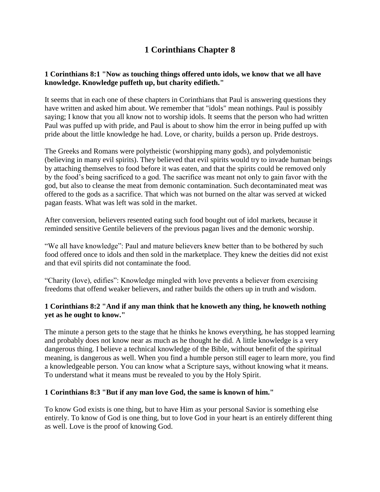# **1 Corinthians Chapter 8**

## **1 Corinthians 8:1 "Now as touching things offered unto idols, we know that we all have knowledge. Knowledge puffeth up, but charity edifieth."**

It seems that in each one of these chapters in Corinthians that Paul is answering questions they have written and asked him about. We remember that "idols" mean nothings. Paul is possibly saying; I know that you all know not to worship idols. It seems that the person who had written Paul was puffed up with pride, and Paul is about to show him the error in being puffed up with pride about the little knowledge he had. Love, or charity, builds a person up. Pride destroys.

The Greeks and Romans were polytheistic (worshipping many gods), and polydemonistic (believing in many evil spirits). They believed that evil spirits would try to invade human beings by attaching themselves to food before it was eaten, and that the spirits could be removed only by the food's being sacrificed to a god. The sacrifice was meant not only to gain favor with the god, but also to cleanse the meat from demonic contamination. Such decontaminated meat was offered to the gods as a sacrifice. That which was not burned on the altar was served at wicked pagan feasts. What was left was sold in the market.

After conversion, believers resented eating such food bought out of idol markets, because it reminded sensitive Gentile believers of the previous pagan lives and the demonic worship.

"We all have knowledge": Paul and mature believers knew better than to be bothered by such food offered once to idols and then sold in the marketplace. They knew the deities did not exist and that evil spirits did not contaminate the food.

"Charity (love), edifies": Knowledge mingled with love prevents a believer from exercising freedoms that offend weaker believers, and rather builds the others up in truth and wisdom.

## **1 Corinthians 8:2 "And if any man think that he knoweth any thing, he knoweth nothing yet as he ought to know."**

The minute a person gets to the stage that he thinks he knows everything, he has stopped learning and probably does not know near as much as he thought he did. A little knowledge is a very dangerous thing. I believe a technical knowledge of the Bible, without benefit of the spiritual meaning, is dangerous as well. When you find a humble person still eager to learn more, you find a knowledgeable person. You can know what a Scripture says, without knowing what it means. To understand what it means must be revealed to you by the Holy Spirit.

#### **1 Corinthians 8:3 "But if any man love God, the same is known of him."**

To know God exists is one thing, but to have Him as your personal Savior is something else entirely. To know of God is one thing, but to love God in your heart is an entirely different thing as well. Love is the proof of knowing God.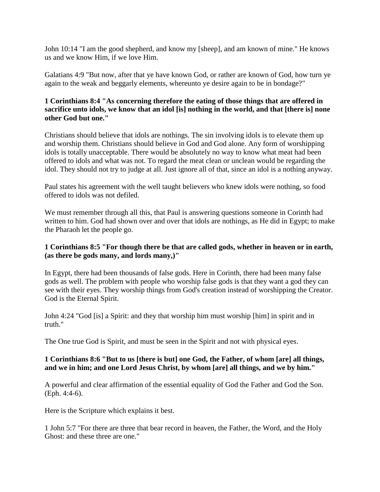John 10:14 "I am the good shepherd, and know my [sheep], and am known of mine." He knows us and we know Him, if we love Him.

Galatians 4:9 "But now, after that ye have known God, or rather are known of God, how turn ye again to the weak and beggarly elements, whereunto ye desire again to be in bondage?"

## **1 Corinthians 8:4 "As concerning therefore the eating of those things that are offered in sacrifice unto idols, we know that an idol [is] nothing in the world, and that [there is] none other God but one."**

Christians should believe that idols are nothings. The sin involving idols is to elevate them up and worship them. Christians should believe in God and God alone. Any form of worshipping idols is totally unacceptable. There would be absolutely no way to know what meat had been offered to idols and what was not. To regard the meat clean or unclean would be regarding the idol. They should not try to judge at all. Just ignore all of that, since an idol is a nothing anyway.

Paul states his agreement with the well taught believers who knew idols were nothing, so food offered to idols was not defiled.

We must remember through all this, that Paul is answering questions someone in Corinth had written to him. God had shown over and over that idols are nothings, as He did in Egypt; to make the Pharaoh let the people go.

## **1 Corinthians 8:5 "For though there be that are called gods, whether in heaven or in earth, (as there be gods many, and lords many,)"**

In Egypt, there had been thousands of false gods. Here in Corinth, there had been many false gods as well. The problem with people who worship false gods is that they want a god they can see with their eyes. They worship things from God's creation instead of worshipping the Creator. God is the Eternal Spirit.

John 4:24 "God [is] a Spirit: and they that worship him must worship [him] in spirit and in truth."

The One true God is Spirit, and must be seen in the Spirit and not with physical eyes.

### **1 Corinthians 8:6 "But to us [there is but] one God, the Father, of whom [are] all things, and we in him; and one Lord Jesus Christ, by whom [are] all things, and we by him."**

A powerful and clear affirmation of the essential equality of God the Father and God the Son. (Eph. 4:4-6).

Here is the Scripture which explains it best.

1 John 5:7 "For there are three that bear record in heaven, the Father, the Word, and the Holy Ghost: and these three are one."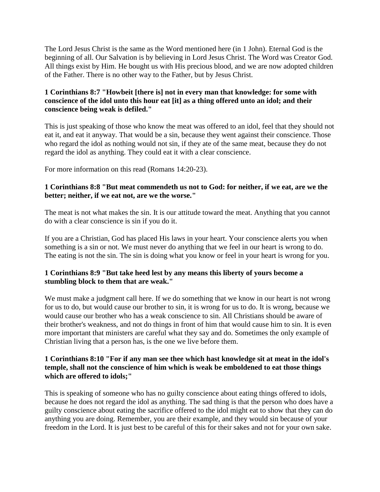The Lord Jesus Christ is the same as the Word mentioned here (in 1 John). Eternal God is the beginning of all. Our Salvation is by believing in Lord Jesus Christ. The Word was Creator God. All things exist by Him. He bought us with His precious blood, and we are now adopted children of the Father. There is no other way to the Father, but by Jesus Christ.

## **1 Corinthians 8:7 "Howbeit [there is] not in every man that knowledge: for some with conscience of the idol unto this hour eat [it] as a thing offered unto an idol; and their conscience being weak is defiled."**

This is just speaking of those who know the meat was offered to an idol, feel that they should not eat it, and eat it anyway. That would be a sin, because they went against their conscience. Those who regard the idol as nothing would not sin, if they ate of the same meat, because they do not regard the idol as anything. They could eat it with a clear conscience.

For more information on this read (Romans 14:20-23).

## **1 Corinthians 8:8 "But meat commendeth us not to God: for neither, if we eat, are we the better; neither, if we eat not, are we the worse."**

The meat is not what makes the sin. It is our attitude toward the meat. Anything that you cannot do with a clear conscience is sin if you do it.

If you are a Christian, God has placed His laws in your heart. Your conscience alerts you when something is a sin or not. We must never do anything that we feel in our heart is wrong to do. The eating is not the sin. The sin is doing what you know or feel in your heart is wrong for you.

## **1 Corinthians 8:9 "But take heed lest by any means this liberty of yours become a stumbling block to them that are weak."**

We must make a judgment call here. If we do something that we know in our heart is not wrong for us to do, but would cause our brother to sin, it is wrong for us to do. It is wrong, because we would cause our brother who has a weak conscience to sin. All Christians should be aware of their brother's weakness, and not do things in front of him that would cause him to sin. It is even more important that ministers are careful what they say and do. Sometimes the only example of Christian living that a person has, is the one we live before them.

#### **1 Corinthians 8:10 "For if any man see thee which hast knowledge sit at meat in the idol's temple, shall not the conscience of him which is weak be emboldened to eat those things which are offered to idols;"**

This is speaking of someone who has no guilty conscience about eating things offered to idols, because he does not regard the idol as anything. The sad thing is that the person who does have a guilty conscience about eating the sacrifice offered to the idol might eat to show that they can do anything you are doing. Remember, you are their example, and they would sin because of your freedom in the Lord. It is just best to be careful of this for their sakes and not for your own sake.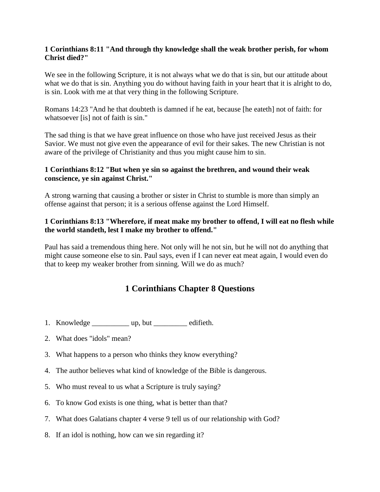#### **1 Corinthians 8:11 "And through thy knowledge shall the weak brother perish, for whom Christ died?"**

We see in the following Scripture, it is not always what we do that is sin, but our attitude about what we do that is sin. Anything you do without having faith in your heart that it is alright to do, is sin. Look with me at that very thing in the following Scripture.

Romans 14:23 "And he that doubteth is damned if he eat, because [he eateth] not of faith: for whatsoever [is] not of faith is sin."

The sad thing is that we have great influence on those who have just received Jesus as their Savior. We must not give even the appearance of evil for their sakes. The new Christian is not aware of the privilege of Christianity and thus you might cause him to sin.

### **1 Corinthians 8:12 "But when ye sin so against the brethren, and wound their weak conscience, ye sin against Christ."**

A strong warning that causing a brother or sister in Christ to stumble is more than simply an offense against that person; it is a serious offense against the Lord Himself.

## **1 Corinthians 8:13 "Wherefore, if meat make my brother to offend, I will eat no flesh while the world standeth, lest I make my brother to offend."**

Paul has said a tremendous thing here. Not only will he not sin, but he will not do anything that might cause someone else to sin. Paul says, even if I can never eat meat again, I would even do that to keep my weaker brother from sinning. Will we do as much?

## **1 Corinthians Chapter 8 Questions**

- 1. Knowledge \_\_\_\_\_\_\_\_\_\_\_\_ up, but \_\_\_\_\_\_\_\_\_ edifieth.
- 2. What does "idols" mean?
- 3. What happens to a person who thinks they know everything?
- 4. The author believes what kind of knowledge of the Bible is dangerous.
- 5. Who must reveal to us what a Scripture is truly saying?
- 6. To know God exists is one thing, what is better than that?
- 7. What does Galatians chapter 4 verse 9 tell us of our relationship with God?
- 8. If an idol is nothing, how can we sin regarding it?